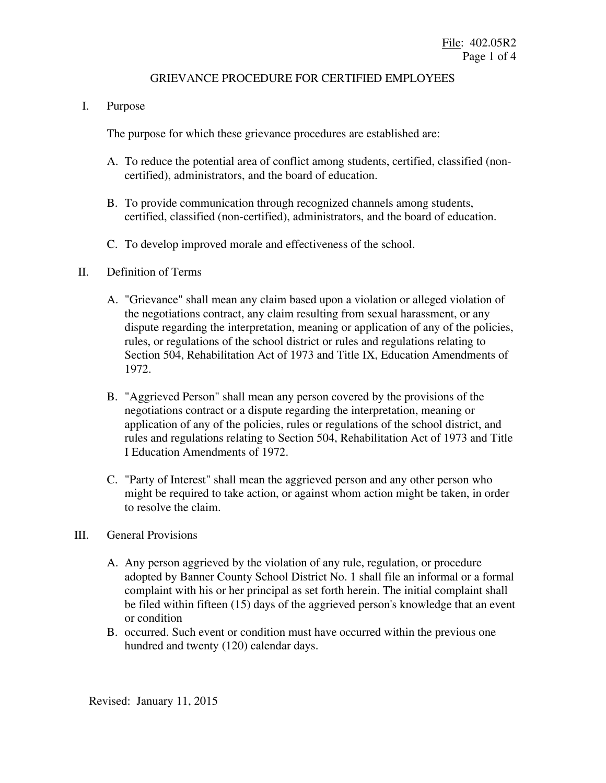### GRIEVANCE PROCEDURE FOR CERTIFIED EMPLOYEES

I. Purpose

The purpose for which these grievance procedures are established are:

- A. To reduce the potential area of conflict among students, certified, classified (noncertified), administrators, and the board of education.
- B. To provide communication through recognized channels among students, certified, classified (non-certified), administrators, and the board of education.
- C. To develop improved morale and effectiveness of the school.

## II. Definition of Terms

- A. "Grievance" shall mean any claim based upon a violation or alleged violation of the negotiations contract, any claim resulting from sexual harassment, or any dispute regarding the interpretation, meaning or application of any of the policies, rules, or regulations of the school district or rules and regulations relating to Section 504, Rehabilitation Act of 1973 and Title IX, Education Amendments of 1972.
- B. "Aggrieved Person" shall mean any person covered by the provisions of the negotiations contract or a dispute regarding the interpretation, meaning or application of any of the policies, rules or regulations of the school district, and rules and regulations relating to Section 504, Rehabilitation Act of 1973 and Title I Education Amendments of 1972.
- C. "Party of Interest" shall mean the aggrieved person and any other person who might be required to take action, or against whom action might be taken, in order to resolve the claim.

### III. General Provisions

- A. Any person aggrieved by the violation of any rule, regulation, or procedure adopted by Banner County School District No. 1 shall file an informal or a formal complaint with his or her principal as set forth herein. The initial complaint shall be filed within fifteen (15) days of the aggrieved person's knowledge that an event or condition
- B. occurred. Such event or condition must have occurred within the previous one hundred and twenty (120) calendar days.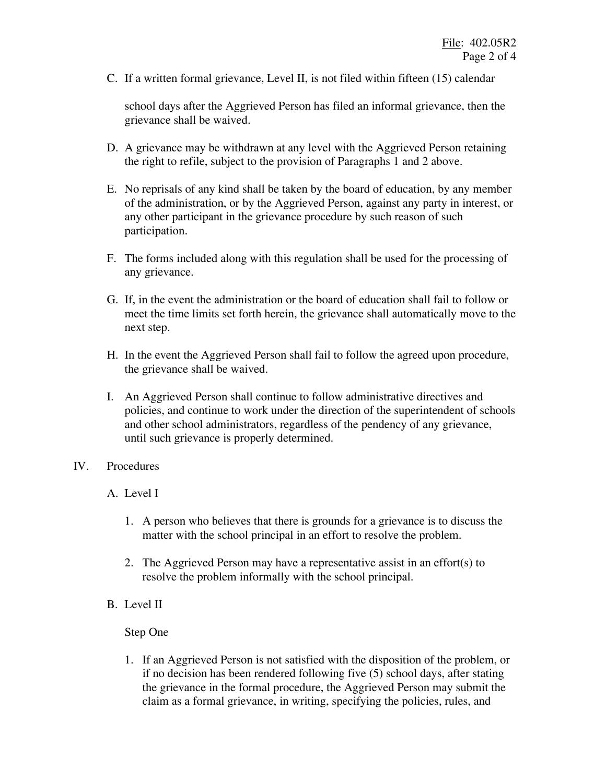C. If a written formal grievance, Level II, is not filed within fifteen (15) calendar

school days after the Aggrieved Person has filed an informal grievance, then the grievance shall be waived.

- D. A grievance may be withdrawn at any level with the Aggrieved Person retaining the right to refile, subject to the provision of Paragraphs 1 and 2 above.
- E. No reprisals of any kind shall be taken by the board of education, by any member of the administration, or by the Aggrieved Person, against any party in interest, or any other participant in the grievance procedure by such reason of such participation.
- F. The forms included along with this regulation shall be used for the processing of any grievance.
- G. If, in the event the administration or the board of education shall fail to follow or meet the time limits set forth herein, the grievance shall automatically move to the next step.
- H. In the event the Aggrieved Person shall fail to follow the agreed upon procedure, the grievance shall be waived.
- I. An Aggrieved Person shall continue to follow administrative directives and policies, and continue to work under the direction of the superintendent of schools and other school administrators, regardless of the pendency of any grievance, until such grievance is properly determined.

### IV. Procedures

- A. Level I
	- 1. A person who believes that there is grounds for a grievance is to discuss the matter with the school principal in an effort to resolve the problem.
	- 2. The Aggrieved Person may have a representative assist in an effort(s) to resolve the problem informally with the school principal.
- B. Level II

# Step One

1. If an Aggrieved Person is not satisfied with the disposition of the problem, or if no decision has been rendered following five (5) school days, after stating the grievance in the formal procedure, the Aggrieved Person may submit the claim as a formal grievance, in writing, specifying the policies, rules, and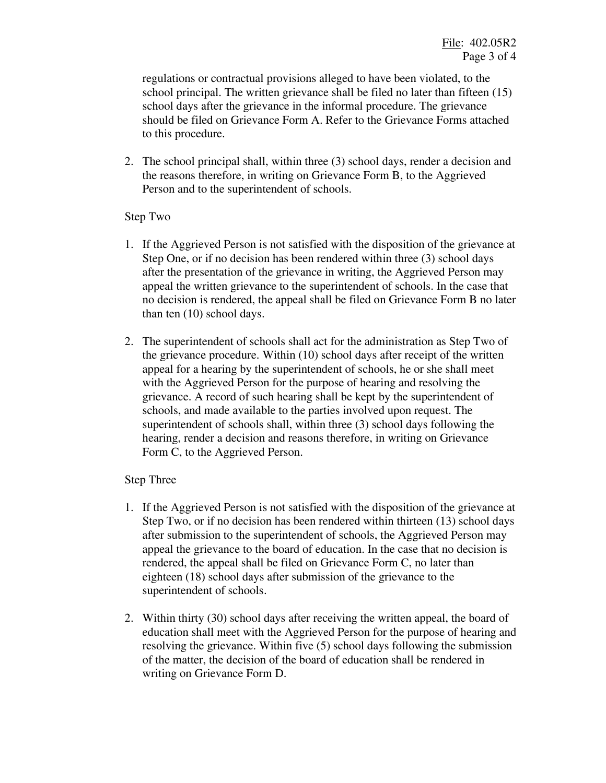regulations or contractual provisions alleged to have been violated, to the school principal. The written grievance shall be filed no later than fifteen (15) school days after the grievance in the informal procedure. The grievance should be filed on Grievance Form A. Refer to the Grievance Forms attached to this procedure.

2. The school principal shall, within three (3) school days, render a decision and the reasons therefore, in writing on Grievance Form B, to the Aggrieved Person and to the superintendent of schools.

### Step Two

- 1. If the Aggrieved Person is not satisfied with the disposition of the grievance at Step One, or if no decision has been rendered within three (3) school days after the presentation of the grievance in writing, the Aggrieved Person may appeal the written grievance to the superintendent of schools. In the case that no decision is rendered, the appeal shall be filed on Grievance Form B no later than ten (10) school days.
- 2. The superintendent of schools shall act for the administration as Step Two of the grievance procedure. Within (10) school days after receipt of the written appeal for a hearing by the superintendent of schools, he or she shall meet with the Aggrieved Person for the purpose of hearing and resolving the grievance. A record of such hearing shall be kept by the superintendent of schools, and made available to the parties involved upon request. The superintendent of schools shall, within three (3) school days following the hearing, render a decision and reasons therefore, in writing on Grievance Form C, to the Aggrieved Person.

### Step Three

- 1. If the Aggrieved Person is not satisfied with the disposition of the grievance at Step Two, or if no decision has been rendered within thirteen (13) school days after submission to the superintendent of schools, the Aggrieved Person may appeal the grievance to the board of education. In the case that no decision is rendered, the appeal shall be filed on Grievance Form C, no later than eighteen (18) school days after submission of the grievance to the superintendent of schools.
- 2. Within thirty (30) school days after receiving the written appeal, the board of education shall meet with the Aggrieved Person for the purpose of hearing and resolving the grievance. Within five (5) school days following the submission of the matter, the decision of the board of education shall be rendered in writing on Grievance Form D.